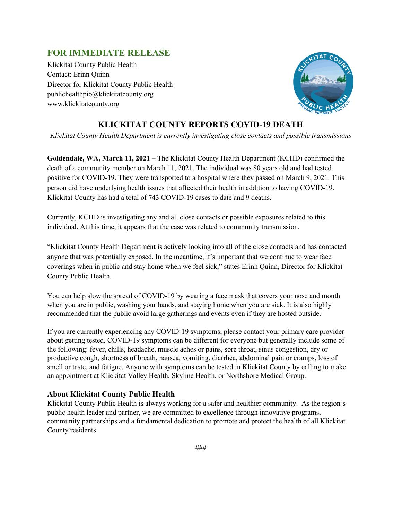## **FOR IMMEDIATE RELEASE**

Klickitat County Public Health Contact: Erinn Quinn Director for Klickitat County Public Health publichealthpio@klickitatcounty.org www.klickitatcounty.org



## **KLICKITAT COUNTY REPORTS COVID-19 DEATH**

*Klickitat County Health Department is currently investigating close contacts and possible transmissions*

**Goldendale, WA, March 11, 2021 –** The Klickitat County Health Department (KCHD) confirmed the death of a community member on March 11, 2021. The individual was 80 years old and had tested positive for COVID-19. They were transported to a hospital where they passed on March 9, 2021. This person did have underlying health issues that affected their health in addition to having COVID-19. Klickitat County has had a total of 743 COVID-19 cases to date and 9 deaths.

Currently, KCHD is investigating any and all close contacts or possible exposures related to this individual. At this time, it appears that the case was related to community transmission.

"Klickitat County Health Department is actively looking into all of the close contacts and has contacted anyone that was potentially exposed. In the meantime, it's important that we continue to wear face coverings when in public and stay home when we feel sick," states Erinn Quinn, Director for Klickitat County Public Health.

You can help slow the spread of COVID-19 by wearing a face mask that covers your nose and mouth when you are in public, washing your hands, and staying home when you are sick. It is also highly recommended that the public avoid large gatherings and events even if they are hosted outside.

If you are currently experiencing any COVID-19 symptoms, please contact your primary care provider about getting tested. COVID-19 symptoms can be different for everyone but generally include some of the following: fever, chills, headache, muscle aches or pains, sore throat, sinus congestion, dry or productive cough, shortness of breath, nausea, vomiting, diarrhea, abdominal pain or cramps, loss of smell or taste, and fatigue. Anyone with symptoms can be tested in Klickitat County by calling to make an appointment at Klickitat Valley Health, Skyline Health, or Northshore Medical Group.

## **About Klickitat County Public Health**

Klickitat County Public Health is always working for a safer and healthier community. As the region's public health leader and partner, we are committed to excellence through innovative programs, community partnerships and a fundamental dedication to promote and protect the health of all Klickitat County residents.